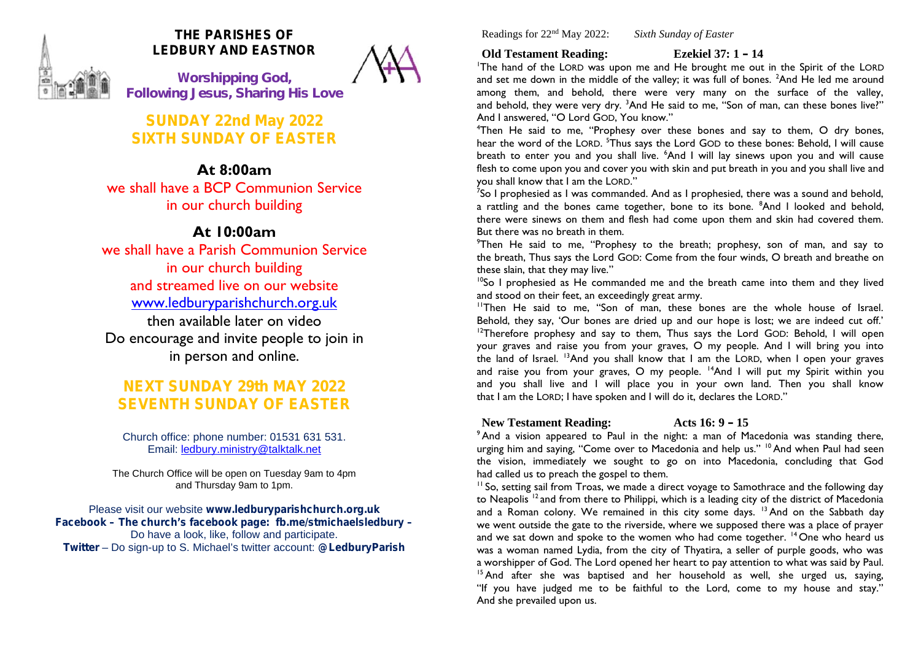

# **THE PARISHES OF LEDBURY AND EASTNOR**

**W***orshipping God, Following Jesus, Sharing His Love*

**SUNDAY 22nd May 2022 SIXTH SUNDAY OF EASTER**

# **At 8:00am**

we shall have a BCP Communion Service in our church building

# **At 10:00am**

we shall have a Parish Communion Service in our church building and streamed live on our website www.ledburyparishchurch.org.uk then available later on video Do encourage and invite people to join in in person and online.

# **NEXT SUNDAY 29th MAY 2022 SEVENTH SUNDAY OF EASTER**

Church office: phone number: 01531 631 531. Email: ledbury.ministry@talktalk.net

The Church Office will be open on Tuesday 9am to 4pm and Thursday 9am to 1pm.

Please visit our website **www.ledburyparishchurch.org.uk Facebook – The church's facebook page: fb.me/stmichaelsledbury –** Do have a look, like, follow and participate. **Twitter** – Do sign-up to S. Michael's twitter account: **@LedburyParish**

Readings for 22nd May 2022: *Sixth Sunday of Easter*

## **Old Testament Reading: Ezekiel 37: 1 – 14**

<sup>1</sup>The hand of the LORD was upon me and He brought me out in the Spirit of the LORD and set me down in the middle of the valley; it was full of bones. <sup>2</sup>And He led me around among them, and behold, there were very many on the surface of the valley, and behold, they were very dry. <sup>3</sup>And He said to me, "Son of man, can these bones live?" And I answered, "O Lord GOD, You know."

<sup>4</sup>Then He said to me, "Prophesy over these bones and say to them, O dry bones, hear the word of the LORD. <sup>5</sup>Thus says the Lord GOD to these bones: Behold, I will cause breath to enter you and you shall live. <sup>6</sup>And I will lay sinews upon you and will cause flesh to come upon you and cover you with skin and put breath in you and you shall live and you shall know that I am the LORD."

<sup>7</sup>So I prophesied as I was commanded. And as I prophesied, there was a sound and behold, a rattling and the bones came together, bone to its bone. <sup>8</sup>And I looked and behold, there were sinews on them and flesh had come upon them and skin had covered them. But there was no breath in them.

 $9$ Then He said to me, "Prophesy to the breath; prophesy, son of man, and say to the breath, Thus says the Lord GOD: Come from the four winds, O breath and breathe on these slain, that they may live."

 $10$ So I prophesied as He commanded me and the breath came into them and they lived and stood on their feet, an exceedingly great army.

<sup>11</sup>Then He said to me, "Son of man, these bones are the whole house of Israel. Behold, they say, 'Our bones are dried up and our hope is lost; we are indeed cut off.' <sup>12</sup>Therefore prophesy and say to them, Thus says the Lord GOD: Behold, I will open your graves and raise you from your graves, O my people. And I will bring you into the land of Israel. <sup>13</sup>And you shall know that I am the LORD, when I open your graves and raise you from your graves, O my people. <sup>14</sup>And I will put my Spirit within you and you shall live and I will place you in your own land. Then you shall know that I am the LORD; I have spoken and I will do it, declares the LORD."

# **New Testament Reading: Acts 16: 9 – 15**

<sup>9</sup> And a vision appeared to Paul in the night: a man of Macedonia was standing there, urging him and saying, "Come over to Macedonia and help us." <sup>10</sup> And when Paul had seen the vision, immediately we sought to go on into Macedonia, concluding that God had called us to preach the gospel to them.

<sup>11</sup> So, setting sail from Troas, we made a direct voyage to Samothrace and the following day to Neapolis<sup>12</sup> and from there to Philippi, which is a leading city of the district of Macedonia and a Roman colony. We remained in this city some days.  $13$  And on the Sabbath day we went outside the gate to the riverside, where we supposed there was a place of prayer and we sat down and spoke to the women who had come together. <sup>14</sup> One who heard us was a woman named Lydia, from the city of Thyatira, a seller of purple goods, who was a worshipper of God. The Lord opened her heart to pay attention to what was said by Paul. <sup>15</sup> And after she was baptised and her household as well, she urged us, saying, "If you have judged me to be faithful to the Lord, come to my house and stay." And she prevailed upon us.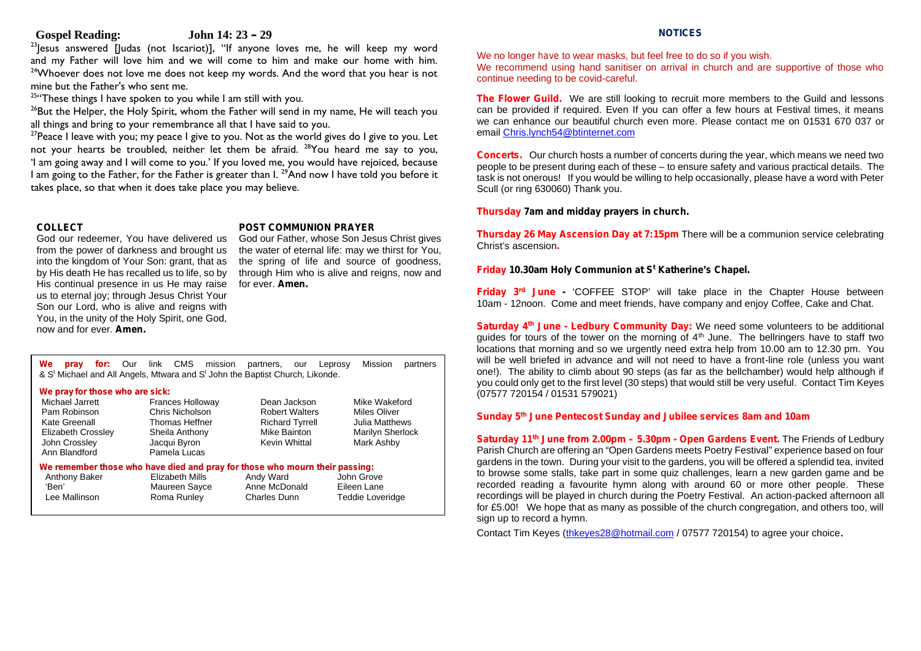### **Gospel Reading: John 14: 23 – 29**

 $23$  esus answered [Judas (not Iscariot)], "If anyone loves me, he will keep my word and my Father will love him and we will come to him and make our home with him.  $24$ Whoever does not love me does not keep my words. And the word that you hear is not mine but the Father's who sent me.

 $25$ "These things I have spoken to you while I am still with you.

 $26$ But the Helper, the Holy Spirit, whom the Father will send in my name, He will teach you all things and bring to your remembrance all that I have said to you.

 $27$ Peace I leave with you; my peace I give to you. Not as the world gives do I give to you. Let not your hearts be troubled, neither let them be afraid. <sup>28</sup>You heard me say to you, 'I am going away and I will come to you.' If you loved me, you would have rejoiced, because I am going to the Father, for the Father is greater than I.<sup>29</sup>And now I have told you before it takes place, so that when it does take place you may believe.

#### **COLLECT**

God our redeemer, You have delivered us from the power of darkness and brought us into the kingdom of Your Son: grant, that as by His death He has recalled us to life, so by His continual presence in us He may raise for ever. **Amen.** us to eternal joy; through Jesus Christ Your Son our Lord, who is alive and reigns with You, in the unity of the Holy Spirit, one God, now and for ever. **Amen.**

#### **POST COMMUNION PRAYER**

God our Father, whose Son Jesus Christ gives the water of eternal life: may we thirst for You, the spring of life and source of goodness, through Him who is alive and reigns, now and

**We pray for:** Our link CMS mission partners, our Leprosy Mission partners & S<sup>t</sup> Michael and All Angels, Mtwara and S<sup>t</sup> John the Baptist Church, Likonde.

#### **We pray for those who are sick:**

| Michael Jarrett           | <b>Frances Holloway</b>                                                     | Dean Jackson           | Mike Wakeford       |  |
|---------------------------|-----------------------------------------------------------------------------|------------------------|---------------------|--|
| Pam Robinson              | Chris Nicholson                                                             | <b>Robert Walters</b>  | <b>Miles Oliver</b> |  |
| Kate Greenall             | Thomas Heffner                                                              | <b>Richard Tyrrell</b> | Julia Matthews      |  |
| <b>Elizabeth Crossley</b> | Sheila Anthony                                                              | Mike Bainton           | Marilyn Sherlock    |  |
| John Crossley             | Jacqui Byron                                                                | Kevin Whittal          | Mark Ashby          |  |
| Ann Blandford             | Pamela Lucas                                                                |                        |                     |  |
|                           | We remember those who have died and pray for those who mourn their passing: |                        |                     |  |
| Anthony Baker             | Elizabeth Mills                                                             | Andy Ward              | John Grove          |  |
| 'Ben'                     | Maureen Sayce                                                               | Anne McDonald          | Eileen Lane         |  |
| Lee Mallinson             | Roma Runley                                                                 | Charles Dunn           | Teddie Loveridge    |  |
|                           |                                                                             |                        |                     |  |

#### **NOTICES**

We no longer *have* to wear masks, but feel free to do so if you wish.

We recommend using hand sanitiser on arrival in church and are supportive of those who continue needing to be covid-careful.

**The Flower Guild.** We are still looking to recruit more members to the Guild and lessons can be provided if required. Even If you can offer a few hours at Festival times, it means we can enhance our beautiful church even more. Please contact me on 01531 670 037 or email Chris.lynch54@btinternet.com

**Concerts.** Our church hosts a number of concerts during the year, which means we need two people to be present during each of these – to ensure safety and various practical details. The task is not onerous! If you would be willing to help occasionally, please have a word with Peter Scull (or ring 630060) Thank you.

#### **Thursday 7am and midday prayers in church.**

**Thursday 26 May Ascension Day at 7:15pm** There will be a communion service celebrating Christ's ascension**.**

### **Friday 10.30am Holy Communion at S <sup>t</sup> Katherine's Chapel.**

**Friday 3rd June -** 'COFFEE STOP' will take place in the Chapter House between 10am - 12noon. Come and meet friends, have company and enjoy Coffee, Cake and Chat.

**Saturday 4th June - Ledbury Community Day:** We need some volunteers to be additional guides for tours of the tower on the morning of  $4<sup>th</sup>$  June. The bellringers have to staff two locations that morning and so we urgently need extra help from 10.00 am to 12.30 pm. You will be well briefed in advance and will not need to have a front-line role (unless you want one!). The ability to climb about 90 steps (as far as the bellchamber) would help although if you could only get to the first level (30 steps) that would still be very useful. Contact Tim Keyes (07577 720154 / 01531 579021)

## Miles Oliver **Sunday 5<sup>th</sup> June Pentecost Sunday and Jubilee services 8am and 10am**

**Saturday 11th June from 2.00pm – 5.30pm - Open Gardens Event.** The Friends of Ledbury Parish Church are offering an "Open Gardens meets Poetry Festival" experience based on four gardens in the town. During your visit to the gardens, you will be offered a splendid tea, invited to browse some stalls, take part in some quiz challenges, learn a new garden game and be recorded reading a favourite hymn along with around 60 or more other people. These recordings will be played in church during the Poetry Festival. An action-packed afternoon all for £5.00! We hope that as many as possible of the church congregation, and others too, will sign up to record a hymn.

Contact Tim Keyes (thkeyes28@hotmail.com / 07577 720154) to agree your choice.